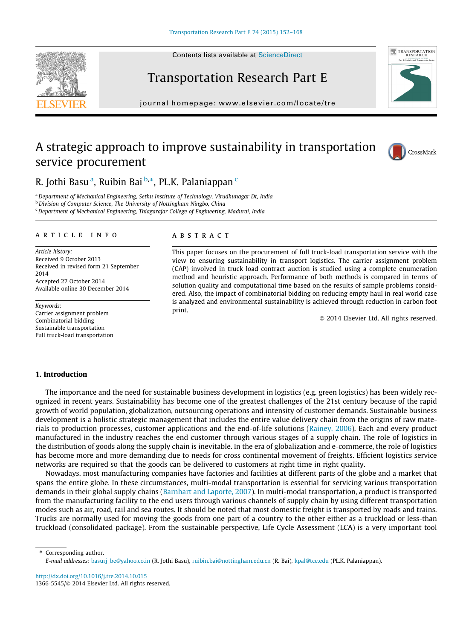Contents lists available at [ScienceDirect](http://www.sciencedirect.com/science/journal/13665545)





## Transportation Research Part E

journal homepage: [www.elsevier.com/locate/tre](http://www.elsevier.com/locate/tre)

## A strategic approach to improve sustainability in transportation service procurement



### R. Jothi Basu<sup>a</sup>, Ruibin Bai <sup>b,\*</sup>, PL.K. Palaniappan <sup>c</sup>

<sup>a</sup> Department of Mechanical Engineering, Sethu Institute of Technology, Virudhunagar Dt, India

**b** Division of Computer Science, The University of Nottingham Ningbo, China

 $\epsilon$ Department of Mechanical Engineering, Thiagarajar College of Engineering, Madurai, India

#### article info

Article history: Received 9 October 2013 Received in revised form 21 September 2014 Accepted 27 October 2014 Available online 30 December 2014

Keywords: Carrier assignment problem Combinatorial bidding Sustainable transportation Full truck-load transportation

#### **ABSTRACT**

This paper focuses on the procurement of full truck-load transportation service with the view to ensuring sustainability in transport logistics. The carrier assignment problem (CAP) involved in truck load contract auction is studied using a complete enumeration method and heuristic approach. Performance of both methods is compared in terms of solution quality and computational time based on the results of sample problems considered. Also, the impact of combinatorial bidding on reducing empty haul in real world case is analyzed and environmental sustainability is achieved through reduction in carbon foot print.

- 2014 Elsevier Ltd. All rights reserved.

#### 1. Introduction

The importance and the need for sustainable business development in logistics (e.g. green logistics) has been widely recognized in recent years. Sustainability has become one of the greatest challenges of the 21st century because of the rapid growth of world population, globalization, outsourcing operations and intensity of customer demands. Sustainable business development is a holistic strategic management that includes the entire value delivery chain from the origins of raw materials to production processes, customer applications and the end-of-life solutions [\(Rainey, 2006](#page--1-0)). Each and every product manufactured in the industry reaches the end customer through various stages of a supply chain. The role of logistics in the distribution of goods along the supply chain is inevitable. In the era of globalization and e-commerce, the role of logistics has become more and more demanding due to needs for cross continental movement of freights. Efficient logistics service networks are required so that the goods can be delivered to customers at right time in right quality.

Nowadays, most manufacturing companies have factories and facilities at different parts of the globe and a market that spans the entire globe. In these circumstances, multi-modal transportation is essential for servicing various transportation demands in their global supply chains [\(Barnhart and Laporte, 2007](#page--1-0)). In multi-modal transportation, a product is transported from the manufacturing facility to the end users through various channels of supply chain by using different transportation modes such as air, road, rail and sea routes. It should be noted that most domestic freight is transported by roads and trains. Trucks are normally used for moving the goods from one part of a country to the other either as a truckload or less-than truckload (consolidated package). From the sustainable perspective, Life Cycle Assessment (LCA) is a very important tool

⇑ Corresponding author.

<http://dx.doi.org/10.1016/j.tre.2014.10.015> 1366-5545/© 2014 Elsevier Ltd. All rights reserved.

E-mail addresses: [basurj\\_be@yahoo.co.in](mailto:basurj_be@yahoo.co.in) (R. Jothi Basu), [ruibin.bai@nottingham.edu.cn](mailto:ruibin.bai@nottingham.edu.cn) (R. Bai), [kpal@tce.edu](mailto:kpal@tce.edu) (PL.K. Palaniappan).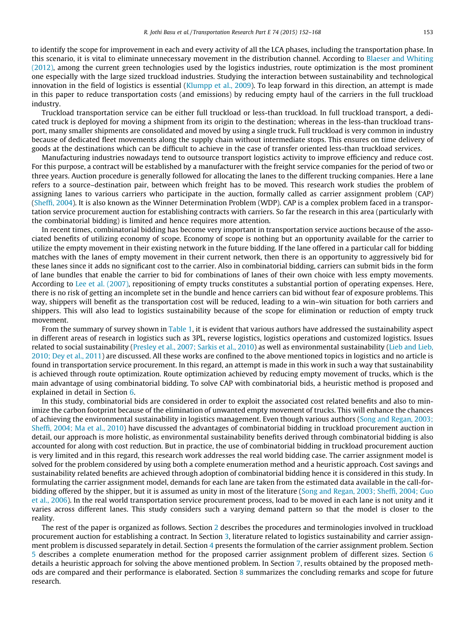to identify the scope for improvement in each and every activity of all the LCA phases, including the transportation phase. In this scenario, it is vital to eliminate unnecessary movement in the distribution channel. According to [Blaeser and Whiting](#page--1-0) [\(2012\),](#page--1-0) among the current green technologies used by the logistics industries, route optimization is the most prominent one especially with the large sized truckload industries. Studying the interaction between sustainability and technological innovation in the field of logistics is essential [\(Klumpp et al., 2009\)](#page--1-0). To leap forward in this direction, an attempt is made in this paper to reduce transportation costs (and emissions) by reducing empty haul of the carriers in the full truckload industry.

Truckload transportation service can be either full truckload or less-than truckload. In full truckload transport, a dedicated truck is deployed for moving a shipment from its origin to the destination; whereas in the less-than truckload transport, many smaller shipments are consolidated and moved by using a single truck. Full truckload is very common in industry because of dedicated fleet movements along the supply chain without intermediate stops. This ensures on time delivery of goods at the destinations which can be difficult to achieve in the case of transfer oriented less-than truckload services.

Manufacturing industries nowadays tend to outsource transport logistics activity to improve efficiency and reduce cost. For this purpose, a contract will be established by a manufacturer with the freight service companies for the period of two or three years. Auction procedure is generally followed for allocating the lanes to the different trucking companies. Here a lane refers to a source–destination pair, between which freight has to be moved. This research work studies the problem of assigning lanes to various carriers who participate in the auction, formally called as carrier assignment problem (CAP) ([Sheffi, 2004](#page--1-0)). It is also known as the Winner Determination Problem (WDP). CAP is a complex problem faced in a transportation service procurement auction for establishing contracts with carriers. So far the research in this area (particularly with the combinatorial bidding) is limited and hence requires more attention.

In recent times, combinatorial bidding has become very important in transportation service auctions because of the associated benefits of utilizing economy of scope. Economy of scope is nothing but an opportunity available for the carrier to utilize the empty movement in their existing network in the future bidding. If the lane offered in a particular call for bidding matches with the lanes of empty movement in their current network, then there is an opportunity to aggressively bid for these lanes since it adds no significant cost to the carrier. Also in combinatorial bidding, carriers can submit bids in the form of lane bundles that enable the carrier to bid for combinations of lanes of their own choice with less empty movements. According to [Lee et al. \(2007\)](#page--1-0), repositioning of empty trucks constitutes a substantial portion of operating expenses. Here, there is no risk of getting an incomplete set in the bundle and hence carriers can bid without fear of exposure problems. This way, shippers will benefit as the transportation cost will be reduced, leading to a win–win situation for both carriers and shippers. This will also lead to logistics sustainability because of the scope for elimination or reduction of empty truck movement.

From the summary of survey shown in [Table 1](#page--1-0), it is evident that various authors have addressed the sustainability aspect in different areas of research in logistics such as 3PL, reverse logistics, logistics operations and customized logistics. Issues related to social sustainability ([Presley et al., 2007; Sarkis et al., 2010](#page--1-0)) as well as environmental sustainability ([Lieb and Lieb,](#page--1-0) [2010; Dey et al., 2011](#page--1-0)) are discussed. All these works are confined to the above mentioned topics in logistics and no article is found in transportation service procurement. In this regard, an attempt is made in this work in such a way that sustainability is achieved through route optimization. Route optimization achieved by reducing empty movement of trucks, which is the main advantage of using combinatorial bidding. To solve CAP with combinatorial bids, a heuristic method is proposed and explained in detail in Section [6](#page--1-0).

In this study, combinatorial bids are considered in order to exploit the associated cost related benefits and also to minimize the carbon footprint because of the elimination of unwanted empty movement of trucks. This will enhance the chances of achieving the environmental sustainability in logistics management. Even though various authors [\(Song and Regan, 2003;](#page--1-0) [Sheffi, 2004; Ma et al., 2010](#page--1-0)) have discussed the advantages of combinatorial bidding in truckload procurement auction in detail, our approach is more holistic, as environmental sustainability benefits derived through combinatorial bidding is also accounted for along with cost reduction. But in practice, the use of combinatorial bidding in truckload procurement auction is very limited and in this regard, this research work addresses the real world bidding case. The carrier assignment model is solved for the problem considered by using both a complete enumeration method and a heuristic approach. Cost savings and sustainability related benefits are achieved through adoption of combinatorial bidding hence it is considered in this study. In formulating the carrier assignment model, demands for each lane are taken from the estimated data available in the call-forbidding offered by the shipper, but it is assumed as unity in most of the literature [\(Song and Regan, 2003; Sheffi, 2004; Guo](#page--1-0) [et al., 2006](#page--1-0)). In the real world transportation service procurement process, load to be moved in each lane is not unity and it varies across different lanes. This study considers such a varying demand pattern so that the model is closer to the reality.

The rest of the paper is organized as follows. Section [2](#page--1-0) describes the procedures and terminologies involved in truckload procurement auction for establishing a contract. In Section [3,](#page--1-0) literature related to logistics sustainability and carrier assignment problem is discussed separately in detail. Section [4](#page--1-0) presents the formulation of the carrier assignment problem. Section [5](#page--1-0) describes a complete enumeration method for the proposed carrier assignment problem of different sizes. Section [6](#page--1-0) details a heuristic approach for solving the above mentioned problem. In Section [7,](#page--1-0) results obtained by the proposed methods are compared and their performance is elaborated. Section [8](#page--1-0) summarizes the concluding remarks and scope for future research.